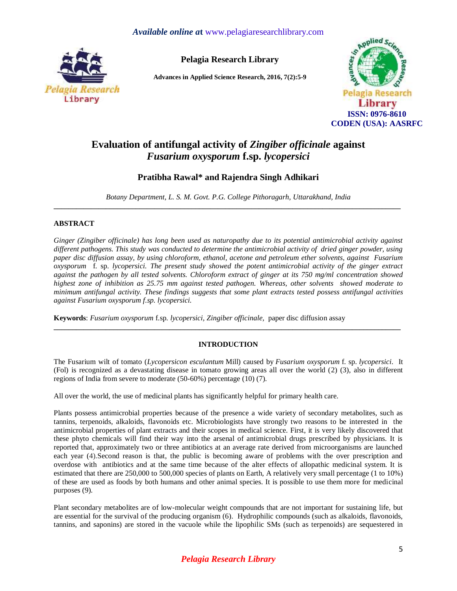## *Available online a***t** [www.pelagiaresearchlibrary.com](http://www.pelagiaresearchlibrary.com/)



**Pelagia Research Library**

**Advances in Applied Science Research, 2016, 7(2):5-9**



# **Evaluation of antifungal activity of** *Zingiber officinale* **against**  *Fusarium oxysporum* **f.sp.** *lycopersici*

# **Pratibha Rawal\* and Rajendra Singh Adhikari**

*Botany Department, L. S. M. Govt. P.G. College Pithoragarh, Uttarakhand, India* **\_\_\_\_\_\_\_\_\_\_\_\_\_\_\_\_\_\_\_\_\_\_\_\_\_\_\_\_\_\_\_\_\_\_\_\_\_\_\_\_\_\_\_\_\_\_\_\_\_\_\_\_\_\_\_\_\_\_\_\_\_\_\_\_\_\_\_\_\_\_\_\_\_\_\_\_\_\_\_\_\_\_\_\_\_\_\_\_\_\_\_\_\_**

### **ABSTRACT**

*Ginger (Zingiber officinale) has long been used as naturopathy due to its potential antimicrobial activity against different pathogens. This study was conducted to determine the antimicrobial activity of dried ginger powder, using paper disc diffusion assay, by using chloroform, ethanol, acetone and petroleum ether solvents, against Fusarium oxysporum* f. sp. *lycopersici. The present study showed the potent antimicrobial activity of the ginger extract against the pathogen by all tested solvents. Chloroform extract of ginger at its 750 mg/ml concentration showed highest zone of inhibition as 25.75 mm against tested pathogen. Whereas, other solvents showed moderate to minimum antifungal activity. These findings suggests that some plant extracts tested possess antifungal activities against Fusarium oxysporum f.sp. lycopersici.*

**Keywords**: *Fusarium oxysporum* f.sp*. lycopersici, Zingiber officinale,* paper disc diffusion assay

### **INTRODUCTION**

**\_\_\_\_\_\_\_\_\_\_\_\_\_\_\_\_\_\_\_\_\_\_\_\_\_\_\_\_\_\_\_\_\_\_\_\_\_\_\_\_\_\_\_\_\_\_\_\_\_\_\_\_\_\_\_\_\_\_\_\_\_\_\_\_\_\_\_\_\_\_\_\_\_\_\_\_\_\_\_\_\_\_\_\_\_\_\_\_\_\_\_\_\_**

The Fusarium wilt of tomato (*Lycopersicon esculantum* Mill) caused by *[Fusarium oxysporum](http://www.scialert.net/asci/result.php?searchin=Keywords&cat=&ascicat=ALL&Submit=Search&keyword=Fusarium+oxysporum)* f. sp. *lycopersici*. It (Fol) is recognized as a devastating disease in tomato growing areas all over the world (2) (3), also in different regions of India from severe to moderate (50-60%) percentage (10) (7).

All over the world, the use of medicinal plants has significantly helpful for primary health care.

Plants possess antimicrobial properties because of the presence a wide variety of secondary metabolites, such as tannins, terpenoids, alkaloids, flavonoids etc. Microbiologists have strongly two reasons to be interested in the antimicrobial properties of plant extracts and their scopes in medical science. First, it is very likely discovered that these phyto chemicals will find their way into the arsenal of antimicrobial drugs prescribed by physicians. It is reported that, approximately two or three antibiotics at an average rate derived from microorganisms are launched each year (4).Second reason is that, the public is becoming aware of problems with the over prescription and overdose with antibiotics and at the same time because of the alter effects of allopathic medicinal system. It is estimated that there are 250,000 to 500,000 species of plants on Earth, A relatively very small percentage (1 to 10%) of these are used as foods by both humans and other animal species. It is possible to use them more for medicinal purposes (9).

Plant secondary metabolites are of low-molecular weight compounds that are not important for sustaining life, but are essential for the survival of the producing organism (6). Hydrophilic compounds (such as alkaloids, flavonoids, tannins, and saponins) are stored in the vacuole while the lipophilic SMs (such as terpenoids) are sequestered in

# *Pelagia Research Library*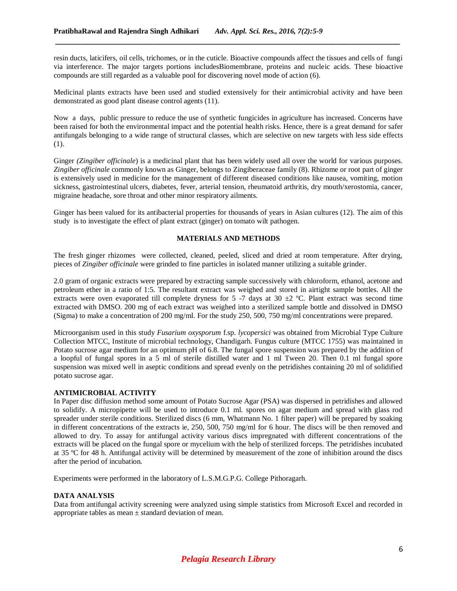resin ducts, laticifers, oil cells, trichomes, or in the cuticle. Bioactive compounds affect the tissues and cells of fungi via interference. The major targets portions includesBiomembrane, proteins and nucleic acids. These bioactive compounds are still regarded as a valuable pool for discovering novel mode of action (6).

*\_\_\_\_\_\_\_\_\_\_\_\_\_\_\_\_\_\_\_\_\_\_\_\_\_\_\_\_\_\_\_\_\_\_\_\_\_\_\_\_\_\_\_\_\_\_\_\_\_\_\_\_\_\_\_\_\_\_\_\_\_\_\_\_\_\_\_\_\_\_\_\_\_\_\_\_\_*

Medicinal plants extracts have been used and studied extensively for their antimicrobial activity and have been demonstrated as good plant disease control agents (11).

Now a days, public pressure to reduce the use of synthetic fungicides in agriculture has increased. Concerns have been raised for both the environmental impact and the potential health risks. Hence, there is a great demand for safer antifungals belonging to a wide range of structural classes, which are selective on new targets with less side effects (1).

Ginger *(Zingiber officinale*) is a medicinal plant that has been widely used all over the world for various purposes. *Zingiber officinale* commonly known as Ginger, belongs to Zingiberaceae family (8). Rhizome or root part of ginger is extensively used in medicine for the management of different diseased conditions like nausea, vomiting, motion sickness, gastrointestinal ulcers, diabetes, fever, arterial tension, rheumatoid arthritis, dry mouth/xerostomia, cancer, migraine headache, sore throat and other minor respiratory ailments.

Ginger has been valued for its antibacterial properties for thousands of years in Asian cultures (12). The aim of this study is to investigate the effect of plant extract (ginger) on tomato wilt pathogen.

### **MATERIALS AND METHODS**

The fresh ginger rhizomes were collected, cleaned, peeled, sliced and dried at room temperature. After drying, pieces of *Zingiber officinale* were grinded to fine particles in isolated manner utilizing a suitable grinder.

2.0 gram of organic extracts were prepared by extracting sample successively with chloroform, ethanol, acetone and petroleum ether in a ratio of 1:5. The resultant extract was weighed and stored in airtight sample bottles. All the extracts were oven evaporated till complete dryness for  $5\text{--}7$  days at  $30\pm2\text{ °C}$ . Plant extract was second time extracted with DMSO. 200 mg of each extract was weighed into a sterilized sample bottle and dissolved in DMSO (Sigma) to make a concentration of 200 mg/ml. For the study 250, 500, 750 mg/ml concentrations were prepared.

Microorganism used in this study *Fusarium oxysporum* f.sp. *lycopersici* was obtained from Microbial Type Culture Collection MTCC, Institute of microbial technology, Chandigarh. Fungus culture (MTCC 1755) was maintained in Potato sucrose agar medium for an optimum pH of 6.8. The fungal spore suspension was prepared by the addition of a loopful of fungal spores in a 5 ml of sterile distilled water and 1 ml Tween 20. Then 0.1 ml fungal spore suspension was mixed well in aseptic conditions and spread evenly on the petridishes containing 20 ml of solidified potato sucrose agar.

#### **ANTIMICROBIAL ACTIVITY**

In Paper disc diffusion method some amount of Potato Sucrose Agar (PSA) was dispersed in petridishes and allowed to solidify. A micropipette will be used to introduce 0.1 ml. spores on agar medium and spread with glass rod spreader under sterile conditions. Sterilized discs (6 mm, Whatmann No. 1 filter paper) will be prepared by soaking in different concentrations of the extracts ie, 250, 500, 750 mg/ml for 6 hour. The discs will be then removed and allowed to dry. To assay for antifungal activity various discs impregnated with different concentrations of the extracts will be placed on the fungal spore or mycelium with the help of sterilized forceps. The petridishes incubated at 35 ºC for 48 h. Antifungal activity will be determined by measurement of the zone of inhibition around the discs after the period of incubation.

Experiments were performed in the laboratory of L.S.M.G.P.G. College Pithoragarh.

#### **DATA ANALYSIS**

Data from antifungal activity screening were analyzed using simple statistics from Microsoft Excel and recorded in appropriate tables as mean ± standard deviation of mean.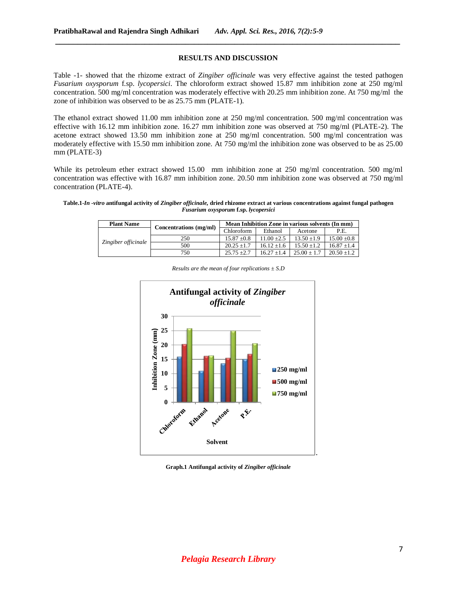#### **RESULTS AND DISCUSSION**

*\_\_\_\_\_\_\_\_\_\_\_\_\_\_\_\_\_\_\_\_\_\_\_\_\_\_\_\_\_\_\_\_\_\_\_\_\_\_\_\_\_\_\_\_\_\_\_\_\_\_\_\_\_\_\_\_\_\_\_\_\_\_\_\_\_\_\_\_\_\_\_\_\_\_\_\_\_*

Table -1- showed that the rhizome extract of *Zingiber officinale* was very effective against the tested pathogen *Fusarium oxysporum* f.sp. *lycopersici*. The chloroform extract showed 15.87 mm inhibition zone at 250 mg/ml concentration. 500 mg/ml concentration was moderately effective with 20.25 mm inhibition zone. At 750 mg/ml the zone of inhibition was observed to be as 25.75 mm (PLATE-1).

The ethanol extract showed 11.00 mm inhibition zone at 250 mg/ml concentration. 500 mg/ml concentration was effective with 16.12 mm inhibition zone. 16.27 mm inhibition zone was observed at 750 mg/ml (PLATE-2). The acetone extract showed 13.50 mm inhibition zone at 250 mg/ml concentration. 500 mg/ml concentration was moderately effective with 15.50 mm inhibition zone. At 750 mg/ml the inhibition zone was observed to be as 25.00 mm (PLATE-3)

While its petroleum ether extract showed 15.00 mm inhibition zone at 250 mg/ml concentration. 500 mg/ml concentration was effective with 16.87 mm inhibition zone. 20.50 mm inhibition zone was observed at 750 mg/ml concentration (PLATE-4).

#### **Table.1-***In -vitro* **antifungal activity of** *Zingiber officinale,* **dried rhizome extract at various concentrations against fungal pathogen**  *Fusarium oxysporum* **f.sp.** *lycopersici*

| <b>Plant Name</b>   | Concentrations (mg/ml) | Mean Inhibition Zone in various solvents (In mm) |               |                 |                 |
|---------------------|------------------------|--------------------------------------------------|---------------|-----------------|-----------------|
| Zingiber officinale |                        | <b>Chloroform</b>                                | Ethanol       | Acetone         | P.E.            |
|                     | 250                    | $15.87 \pm 0.8$                                  | $11.00 + 2.5$ | $13.50 \pm 1.9$ | $15.00 \pm 0.8$ |
|                     | 500                    | $20.25 \pm 1.7$                                  | $16.12 + 1.6$ | $15.50 + 1.2$   | $16.87 + 1.4$   |
|                     | 750                    | $25.75 + 2.7$                                    | $16.27 + 1.4$ | $25.00 + 1.7$   | $20.50 + 1.2$   |



*Results are the mean of four replications ± S.D*

**Graph.1 Antifungal activity of** *Zingiber officinale*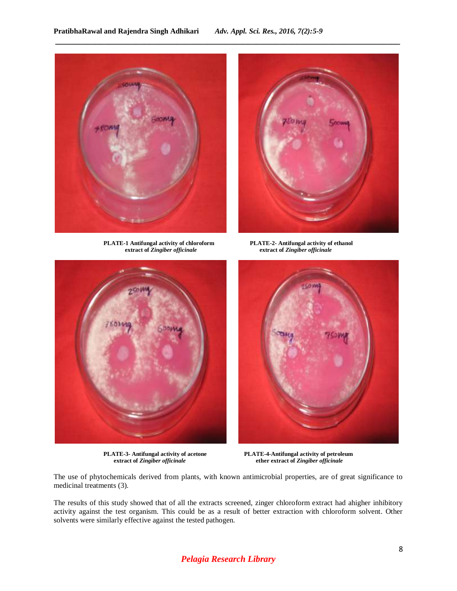*\_\_\_\_\_\_\_\_\_\_\_\_\_\_\_\_\_\_\_\_\_\_\_\_\_\_\_\_\_\_\_\_\_\_\_\_\_\_\_\_\_\_\_\_\_\_\_\_\_\_\_\_\_\_\_\_\_\_\_\_\_\_\_\_\_\_\_\_\_\_\_\_\_\_\_\_\_*



**PLATE-1 Antifungal activity of chloroform PLATE-2- Antifungal activity of ethanol**



**extract of** *Zingiber officinale* **extract of** *Zingiber officinale*





**PLATE-3- Antifungal activity of acetone PLATE-4-Antifungal activity of petroleum extract of** *Zingiber officinale* **ether extract of** *Zingiber officinale*

The use of phytochemicals derived from plants, with known antimicrobial properties, are of great significance to medicinal treatments (3).

The results of this study showed that of all the extracts screened, zinger chloroform extract had ahigher inhibitory activity against the test organism. This could be as a result of better extraction with chloroform solvent. Other solvents were similarly effective against the tested pathogen.